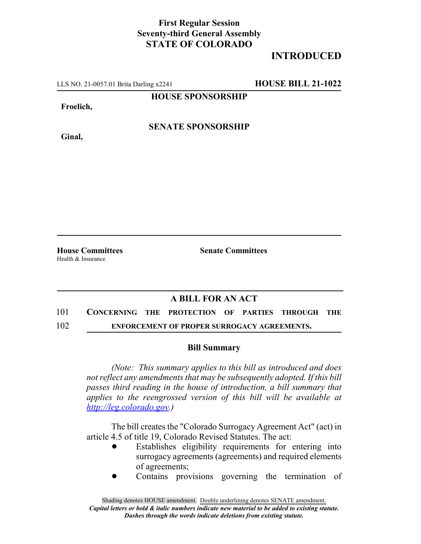## **First Regular Session Seventy-third General Assembly STATE OF COLORADO**

# **INTRODUCED**

LLS NO. 21-0057.01 Brita Darling x2241 **HOUSE BILL 21-1022**

**HOUSE SPONSORSHIP**

**Froelich,**

**Ginal,**

**SENATE SPONSORSHIP**

**House Committees Senate Committees** Health & Insurance

### **A BILL FOR AN ACT**

# 101 **CONCERNING THE PROTECTION OF PARTIES THROUGH THE**

### 102 **ENFORCEMENT OF PROPER SURROGACY AGREEMENTS.**

#### **Bill Summary**

*(Note: This summary applies to this bill as introduced and does not reflect any amendments that may be subsequently adopted. If this bill passes third reading in the house of introduction, a bill summary that applies to the reengrossed version of this bill will be available at http://leg.colorado.gov.)*

The bill creates the "Colorado Surrogacy Agreement Act" (act) in article 4.5 of title 19, Colorado Revised Statutes. The act:

- Establishes eligibility requirements for entering into surrogacy agreements (agreements) and required elements of agreements;
- ! Contains provisions governing the termination of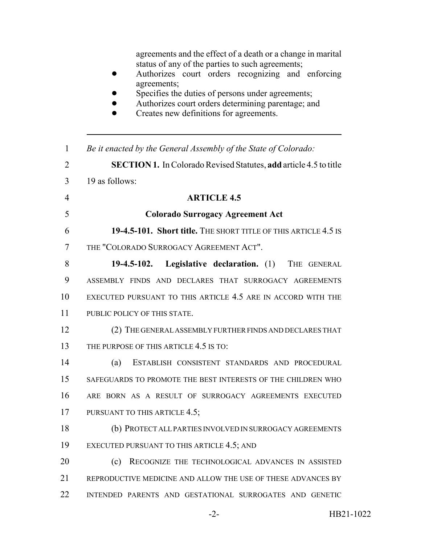agreements and the effect of a death or a change in marital status of any of the parties to such agreements;

- ! Authorizes court orders recognizing and enforcing agreements;
- Specifies the duties of persons under agreements;
- ! Authorizes court orders determining parentage; and
- Creates new definitions for agreements.

| $\mathbf{1}$   | Be it enacted by the General Assembly of the State of Colorado:          |
|----------------|--------------------------------------------------------------------------|
| $\overline{2}$ | <b>SECTION 1.</b> In Colorado Revised Statutes, add article 4.5 to title |
| 3              | 19 as follows:                                                           |
| $\overline{4}$ | <b>ARTICLE 4.5</b>                                                       |
| 5              | <b>Colorado Surrogacy Agreement Act</b>                                  |
| 6              | 19-4.5-101. Short title. THE SHORT TITLE OF THIS ARTICLE 4.5 IS          |
| 7              | THE "COLORADO SURROGACY AGREEMENT ACT".                                  |
| 8              | 19-4.5-102. Legislative declaration. (1) THE GENERAL                     |
| 9              | ASSEMBLY FINDS AND DECLARES THAT SURROGACY AGREEMENTS                    |
| 10             | EXECUTED PURSUANT TO THIS ARTICLE 4.5 ARE IN ACCORD WITH THE             |
| 11             | PUBLIC POLICY OF THIS STATE.                                             |
| 12             | (2) THE GENERAL ASSEMBLY FURTHER FINDS AND DECLARES THAT                 |
| 13             | THE PURPOSE OF THIS ARTICLE 4.5 IS TO:                                   |
| 14             | (a)<br>ESTABLISH CONSISTENT STANDARDS AND PROCEDURAL                     |
| 15             | SAFEGUARDS TO PROMOTE THE BEST INTERESTS OF THE CHILDREN WHO             |
| 16             | ARE BORN AS A RESULT OF SURROGACY AGREEMENTS EXECUTED                    |
| 17             | PURSUANT TO THIS ARTICLE 4.5;                                            |
| 18             | (b) PROTECT ALL PARTIES INVOLVED IN SURROGACY AGREEMENTS                 |
| 19             | EXECUTED PURSUANT TO THIS ARTICLE 4.5; AND                               |
| 20             | RECOGNIZE THE TECHNOLOGICAL ADVANCES IN ASSISTED<br>(c)                  |
| 21             | REPRODUCTIVE MEDICINE AND ALLOW THE USE OF THESE ADVANCES BY             |
| 22             | INTENDED PARENTS AND GESTATIONAL SURROGATES AND GENETIC                  |
|                |                                                                          |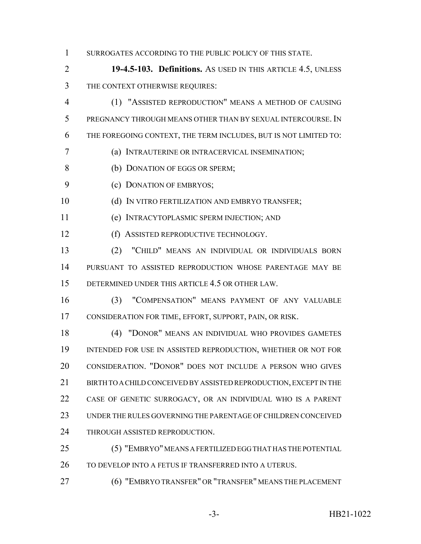1 SURROGATES ACCORDING TO THE PUBLIC POLICY OF THIS STATE.

 **19-4.5-103. Definitions.** AS USED IN THIS ARTICLE 4.5, UNLESS THE CONTEXT OTHERWISE REQUIRES:

 (1) "ASSISTED REPRODUCTION" MEANS A METHOD OF CAUSING PREGNANCY THROUGH MEANS OTHER THAN BY SEXUAL INTERCOURSE. IN THE FOREGOING CONTEXT, THE TERM INCLUDES, BUT IS NOT LIMITED TO:

(a) INTRAUTERINE OR INTRACERVICAL INSEMINATION;

(b) DONATION OF EGGS OR SPERM;

(c) DONATION OF EMBRYOS;

10 (d) IN VITRO FERTILIZATION AND EMBRYO TRANSFER:

(e) INTRACYTOPLASMIC SPERM INJECTION; AND

12 (f) ASSISTED REPRODUCTIVE TECHNOLOGY.

 (2) "CHILD" MEANS AN INDIVIDUAL OR INDIVIDUALS BORN PURSUANT TO ASSISTED REPRODUCTION WHOSE PARENTAGE MAY BE DETERMINED UNDER THIS ARTICLE 4.5 OR OTHER LAW.

 (3) "COMPENSATION" MEANS PAYMENT OF ANY VALUABLE CONSIDERATION FOR TIME, EFFORT, SUPPORT, PAIN, OR RISK.

 (4) "DONOR" MEANS AN INDIVIDUAL WHO PROVIDES GAMETES INTENDED FOR USE IN ASSISTED REPRODUCTION, WHETHER OR NOT FOR CONSIDERATION. "DONOR" DOES NOT INCLUDE A PERSON WHO GIVES 21 BIRTH TO A CHILD CONCEIVED BY ASSISTED REPRODUCTION, EXCEPT IN THE CASE OF GENETIC SURROGACY, OR AN INDIVIDUAL WHO IS A PARENT UNDER THE RULES GOVERNING THE PARENTAGE OF CHILDREN CONCEIVED 24 THROUGH ASSISTED REPRODUCTION.

 (5) "EMBRYO" MEANS A FERTILIZED EGG THAT HAS THE POTENTIAL 26 TO DEVELOP INTO A FETUS IF TRANSFERRED INTO A UTERUS.

(6) "EMBRYO TRANSFER" OR "TRANSFER" MEANS THE PLACEMENT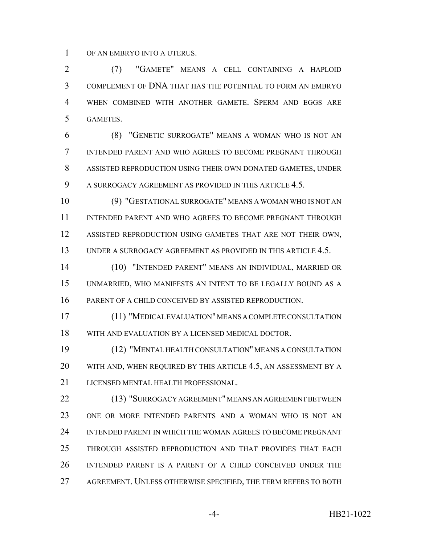OF AN EMBRYO INTO A UTERUS.

 (7) "GAMETE" MEANS A CELL CONTAINING A HAPLOID COMPLEMENT OF DNA THAT HAS THE POTENTIAL TO FORM AN EMBRYO WHEN COMBINED WITH ANOTHER GAMETE. SPERM AND EGGS ARE GAMETES.

 (8) "GENETIC SURROGATE" MEANS A WOMAN WHO IS NOT AN INTENDED PARENT AND WHO AGREES TO BECOME PREGNANT THROUGH ASSISTED REPRODUCTION USING THEIR OWN DONATED GAMETES, UNDER A SURROGACY AGREEMENT AS PROVIDED IN THIS ARTICLE 4.5.

 (9) "GESTATIONAL SURROGATE" MEANS A WOMAN WHO IS NOT AN INTENDED PARENT AND WHO AGREES TO BECOME PREGNANT THROUGH ASSISTED REPRODUCTION USING GAMETES THAT ARE NOT THEIR OWN, UNDER A SURROGACY AGREEMENT AS PROVIDED IN THIS ARTICLE 4.5.

 (10) "INTENDED PARENT" MEANS AN INDIVIDUAL, MARRIED OR UNMARRIED, WHO MANIFESTS AN INTENT TO BE LEGALLY BOUND AS A PARENT OF A CHILD CONCEIVED BY ASSISTED REPRODUCTION.

 (11) "MEDICAL EVALUATION" MEANS A COMPLETE CONSULTATION WITH AND EVALUATION BY A LICENSED MEDICAL DOCTOR.

 (12) "MENTAL HEALTH CONSULTATION" MEANS A CONSULTATION WITH AND, WHEN REQUIRED BY THIS ARTICLE 4.5, AN ASSESSMENT BY A LICENSED MENTAL HEALTH PROFESSIONAL.

 (13) "SURROGACY AGREEMENT" MEANS AN AGREEMENT BETWEEN ONE OR MORE INTENDED PARENTS AND A WOMAN WHO IS NOT AN INTENDED PARENT IN WHICH THE WOMAN AGREES TO BECOME PREGNANT THROUGH ASSISTED REPRODUCTION AND THAT PROVIDES THAT EACH INTENDED PARENT IS A PARENT OF A CHILD CONCEIVED UNDER THE AGREEMENT. UNLESS OTHERWISE SPECIFIED, THE TERM REFERS TO BOTH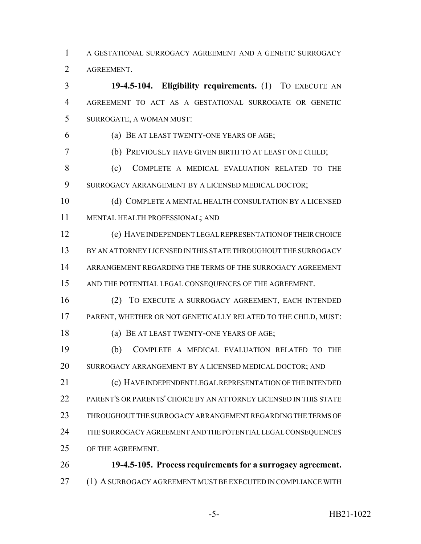A GESTATIONAL SURROGACY AGREEMENT AND A GENETIC SURROGACY AGREEMENT.

 **19-4.5-104. Eligibility requirements.** (1) TO EXECUTE AN AGREEMENT TO ACT AS A GESTATIONAL SURROGATE OR GENETIC SURROGATE, A WOMAN MUST: (a) BE AT LEAST TWENTY-ONE YEARS OF AGE; (b) PREVIOUSLY HAVE GIVEN BIRTH TO AT LEAST ONE CHILD; 8 (c) COMPLETE A MEDICAL EVALUATION RELATED TO THE SURROGACY ARRANGEMENT BY A LICENSED MEDICAL DOCTOR; (d) COMPLETE A MENTAL HEALTH CONSULTATION BY A LICENSED MENTAL HEALTH PROFESSIONAL; AND (e) HAVE INDEPENDENT LEGAL REPRESENTATION OF THEIR CHOICE BY AN ATTORNEY LICENSED IN THIS STATE THROUGHOUT THE SURROGACY ARRANGEMENT REGARDING THE TERMS OF THE SURROGACY AGREEMENT AND THE POTENTIAL LEGAL CONSEQUENCES OF THE AGREEMENT. (2) TO EXECUTE A SURROGACY AGREEMENT, EACH INTENDED PARENT, WHETHER OR NOT GENETICALLY RELATED TO THE CHILD, MUST: (a) BE AT LEAST TWENTY-ONE YEARS OF AGE; (b) COMPLETE A MEDICAL EVALUATION RELATED TO THE SURROGACY ARRANGEMENT BY A LICENSED MEDICAL DOCTOR; AND (c) HAVE INDEPENDENT LEGAL REPRESENTATION OF THE INTENDED PARENT'S OR PARENTS' CHOICE BY AN ATTORNEY LICENSED IN THIS STATE THROUGHOUT THE SURROGACY ARRANGEMENT REGARDING THE TERMS OF THE SURROGACY AGREEMENT AND THE POTENTIAL LEGAL CONSEQUENCES OF THE AGREEMENT. **19-4.5-105. Process requirements for a surrogacy agreement.**

(1) A SURROGACY AGREEMENT MUST BE EXECUTED IN COMPLIANCE WITH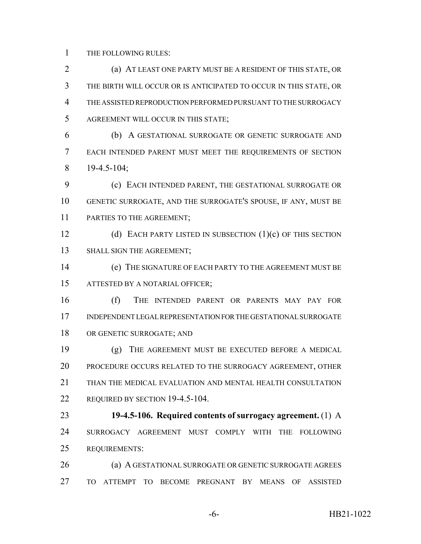THE FOLLOWING RULES:

 (a) AT LEAST ONE PARTY MUST BE A RESIDENT OF THIS STATE, OR THE BIRTH WILL OCCUR OR IS ANTICIPATED TO OCCUR IN THIS STATE, OR THE ASSISTED REPRODUCTION PERFORMED PURSUANT TO THE SURROGACY AGREEMENT WILL OCCUR IN THIS STATE; (b) A GESTATIONAL SURROGATE OR GENETIC SURROGATE AND EACH INTENDED PARENT MUST MEET THE REQUIREMENTS OF SECTION 19-4.5-104; (c) EACH INTENDED PARENT, THE GESTATIONAL SURROGATE OR GENETIC SURROGATE, AND THE SURROGATE'S SPOUSE, IF ANY, MUST BE PARTIES TO THE AGREEMENT; 12 (d) EACH PARTY LISTED IN SUBSECTION (1)(c) OF THIS SECTION 13 SHALL SIGN THE AGREEMENT; (e) THE SIGNATURE OF EACH PARTY TO THE AGREEMENT MUST BE ATTESTED BY A NOTARIAL OFFICER; (f) THE INTENDED PARENT OR PARENTS MAY PAY FOR INDEPENDENT LEGAL REPRESENTATION FOR THE GESTATIONAL SURROGATE OR GENETIC SURROGATE; AND (g) THE AGREEMENT MUST BE EXECUTED BEFORE A MEDICAL PROCEDURE OCCURS RELATED TO THE SURROGACY AGREEMENT, OTHER THAN THE MEDICAL EVALUATION AND MENTAL HEALTH CONSULTATION 22 REQUIRED BY SECTION 19-4.5-104. **19-4.5-106. Required contents of surrogacy agreement.** (1) A SURROGACY AGREEMENT MUST COMPLY WITH THE FOLLOWING REQUIREMENTS: (a) A GESTATIONAL SURROGATE OR GENETIC SURROGATE AGREES TO ATTEMPT TO BECOME PREGNANT BY MEANS OF ASSISTED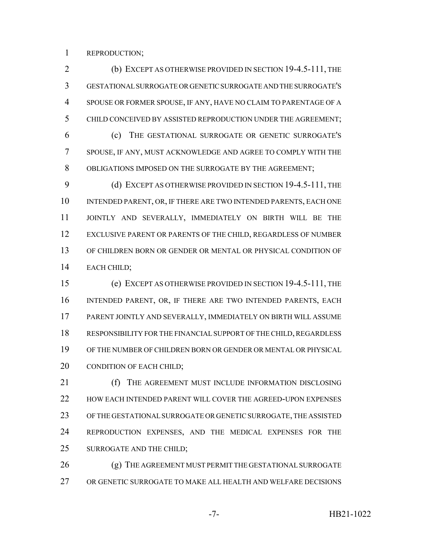REPRODUCTION;

 (b) EXCEPT AS OTHERWISE PROVIDED IN SECTION 19-4.5-111, THE GESTATIONAL SURROGATE OR GENETIC SURROGATE AND THE SURROGATE'S SPOUSE OR FORMER SPOUSE, IF ANY, HAVE NO CLAIM TO PARENTAGE OF A CHILD CONCEIVED BY ASSISTED REPRODUCTION UNDER THE AGREEMENT; (c) THE GESTATIONAL SURROGATE OR GENETIC SURROGATE'S SPOUSE, IF ANY, MUST ACKNOWLEDGE AND AGREE TO COMPLY WITH THE OBLIGATIONS IMPOSED ON THE SURROGATE BY THE AGREEMENT;

9 (d) EXCEPT AS OTHERWISE PROVIDED IN SECTION 19-4.5-111, THE 10 INTENDED PARENT, OR, IF THERE ARE TWO INTENDED PARENTS, EACH ONE JOINTLY AND SEVERALLY, IMMEDIATELY ON BIRTH WILL BE THE EXCLUSIVE PARENT OR PARENTS OF THE CHILD, REGARDLESS OF NUMBER OF CHILDREN BORN OR GENDER OR MENTAL OR PHYSICAL CONDITION OF EACH CHILD;

 (e) EXCEPT AS OTHERWISE PROVIDED IN SECTION 19-4.5-111, THE INTENDED PARENT, OR, IF THERE ARE TWO INTENDED PARENTS, EACH PARENT JOINTLY AND SEVERALLY, IMMEDIATELY ON BIRTH WILL ASSUME RESPONSIBILITY FOR THE FINANCIAL SUPPORT OF THE CHILD, REGARDLESS OF THE NUMBER OF CHILDREN BORN OR GENDER OR MENTAL OR PHYSICAL 20 CONDITION OF EACH CHILD;

**(f)** THE AGREEMENT MUST INCLUDE INFORMATION DISCLOSING HOW EACH INTENDED PARENT WILL COVER THE AGREED-UPON EXPENSES OF THE GESTATIONAL SURROGATE OR GENETIC SURROGATE, THE ASSISTED REPRODUCTION EXPENSES, AND THE MEDICAL EXPENSES FOR THE SURROGATE AND THE CHILD;

26 (g) THE AGREEMENT MUST PERMIT THE GESTATIONAL SURROGATE OR GENETIC SURROGATE TO MAKE ALL HEALTH AND WELFARE DECISIONS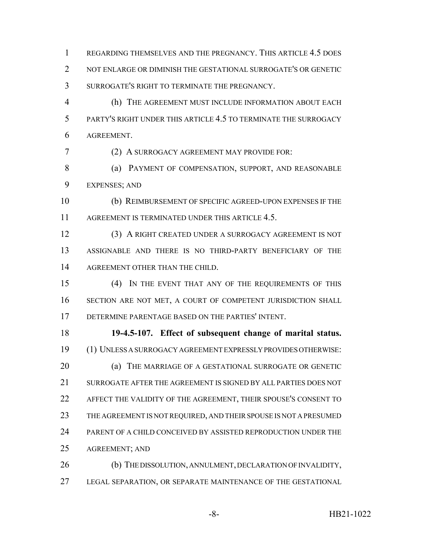REGARDING THEMSELVES AND THE PREGNANCY. THIS ARTICLE 4.5 DOES NOT ENLARGE OR DIMINISH THE GESTATIONAL SURROGATE'S OR GENETIC SURROGATE'S RIGHT TO TERMINATE THE PREGNANCY.

 (h) THE AGREEMENT MUST INCLUDE INFORMATION ABOUT EACH PARTY'S RIGHT UNDER THIS ARTICLE 4.5 TO TERMINATE THE SURROGACY AGREEMENT.

(2) A SURROGACY AGREEMENT MAY PROVIDE FOR:

8 (a) PAYMENT OF COMPENSATION, SUPPORT, AND REASONABLE EXPENSES; AND

 (b) REIMBURSEMENT OF SPECIFIC AGREED-UPON EXPENSES IF THE 11 AGREEMENT IS TERMINATED UNDER THIS ARTICLE 4.5.

 (3) A RIGHT CREATED UNDER A SURROGACY AGREEMENT IS NOT ASSIGNABLE AND THERE IS NO THIRD-PARTY BENEFICIARY OF THE 14 AGREEMENT OTHER THAN THE CHILD.

 (4) IN THE EVENT THAT ANY OF THE REQUIREMENTS OF THIS SECTION ARE NOT MET, A COURT OF COMPETENT JURISDICTION SHALL DETERMINE PARENTAGE BASED ON THE PARTIES' INTENT.

 **19-4.5-107. Effect of subsequent change of marital status.** (1) UNLESS A SURROGACY AGREEMENT EXPRESSLY PROVIDES OTHERWISE: (a) THE MARRIAGE OF A GESTATIONAL SURROGATE OR GENETIC SURROGATE AFTER THE AGREEMENT IS SIGNED BY ALL PARTIES DOES NOT AFFECT THE VALIDITY OF THE AGREEMENT, THEIR SPOUSE'S CONSENT TO 23 THE AGREEMENT IS NOT REQUIRED, AND THEIR SPOUSE IS NOT A PRESUMED PARENT OF A CHILD CONCEIVED BY ASSISTED REPRODUCTION UNDER THE AGREEMENT; AND

 (b) THE DISSOLUTION, ANNULMENT, DECLARATION OF INVALIDITY, LEGAL SEPARATION, OR SEPARATE MAINTENANCE OF THE GESTATIONAL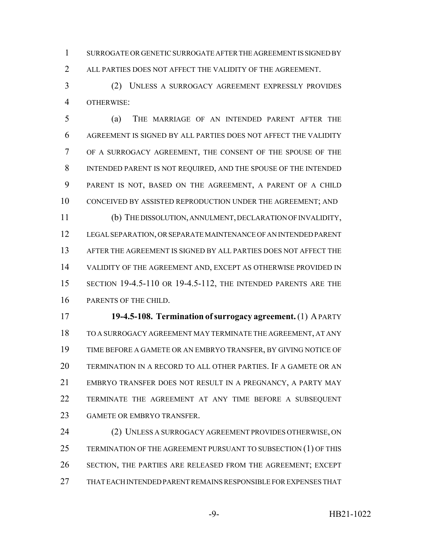SURROGATE OR GENETIC SURROGATE AFTER THE AGREEMENT IS SIGNED BY ALL PARTIES DOES NOT AFFECT THE VALIDITY OF THE AGREEMENT.

 (2) UNLESS A SURROGACY AGREEMENT EXPRESSLY PROVIDES OTHERWISE:

 (a) THE MARRIAGE OF AN INTENDED PARENT AFTER THE AGREEMENT IS SIGNED BY ALL PARTIES DOES NOT AFFECT THE VALIDITY OF A SURROGACY AGREEMENT, THE CONSENT OF THE SPOUSE OF THE INTENDED PARENT IS NOT REQUIRED, AND THE SPOUSE OF THE INTENDED PARENT IS NOT, BASED ON THE AGREEMENT, A PARENT OF A CHILD CONCEIVED BY ASSISTED REPRODUCTION UNDER THE AGREEMENT; AND (b) THE DISSOLUTION, ANNULMENT, DECLARATION OF INVALIDITY, LEGAL SEPARATION, OR SEPARATE MAINTENANCE OF AN INTENDED PARENT AFTER THE AGREEMENT IS SIGNED BY ALL PARTIES DOES NOT AFFECT THE VALIDITY OF THE AGREEMENT AND, EXCEPT AS OTHERWISE PROVIDED IN SECTION 19-4.5-110 OR 19-4.5-112, THE INTENDED PARENTS ARE THE PARENTS OF THE CHILD.

 **19-4.5-108. Termination of surrogacy agreement.** (1) A PARTY TO A SURROGACY AGREEMENT MAY TERMINATE THE AGREEMENT, AT ANY TIME BEFORE A GAMETE OR AN EMBRYO TRANSFER, BY GIVING NOTICE OF TERMINATION IN A RECORD TO ALL OTHER PARTIES. IF A GAMETE OR AN EMBRYO TRANSFER DOES NOT RESULT IN A PREGNANCY, A PARTY MAY TERMINATE THE AGREEMENT AT ANY TIME BEFORE A SUBSEQUENT GAMETE OR EMBRYO TRANSFER.

24 (2) UNLESS A SURROGACY AGREEMENT PROVIDES OTHERWISE, ON 25 TERMINATION OF THE AGREEMENT PURSUANT TO SUBSECTION (1) OF THIS SECTION, THE PARTIES ARE RELEASED FROM THE AGREEMENT; EXCEPT THAT EACH INTENDED PARENT REMAINS RESPONSIBLE FOR EXPENSES THAT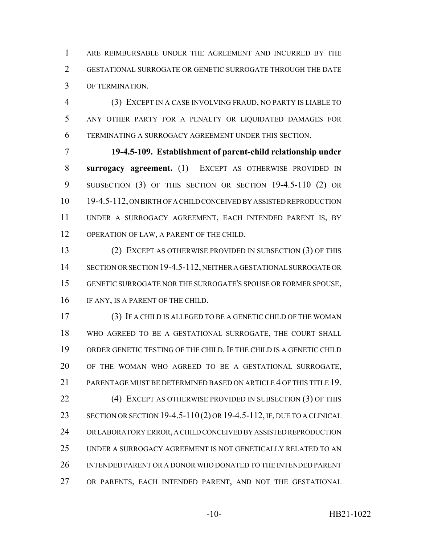ARE REIMBURSABLE UNDER THE AGREEMENT AND INCURRED BY THE GESTATIONAL SURROGATE OR GENETIC SURROGATE THROUGH THE DATE OF TERMINATION.

 (3) EXCEPT IN A CASE INVOLVING FRAUD, NO PARTY IS LIABLE TO ANY OTHER PARTY FOR A PENALTY OR LIQUIDATED DAMAGES FOR TERMINATING A SURROGACY AGREEMENT UNDER THIS SECTION.

 **19-4.5-109. Establishment of parent-child relationship under surrogacy agreement.** (1) EXCEPT AS OTHERWISE PROVIDED IN SUBSECTION (3) OF THIS SECTION OR SECTION 19-4.5-110 (2) OR 19-4.5-112, ON BIRTH OF A CHILD CONCEIVED BY ASSISTED REPRODUCTION UNDER A SURROGACY AGREEMENT, EACH INTENDED PARENT IS, BY 12 OPERATION OF LAW, A PARENT OF THE CHILD.

 (2) EXCEPT AS OTHERWISE PROVIDED IN SUBSECTION (3) OF THIS SECTION OR SECTION 19-4.5-112, NEITHER A GESTATIONAL SURROGATE OR GENETIC SURROGATE NOR THE SURROGATE'S SPOUSE OR FORMER SPOUSE, 16 IF ANY, IS A PARENT OF THE CHILD.

 (3) IF A CHILD IS ALLEGED TO BE A GENETIC CHILD OF THE WOMAN WHO AGREED TO BE A GESTATIONAL SURROGATE, THE COURT SHALL ORDER GENETIC TESTING OF THE CHILD. IF THE CHILD IS A GENETIC CHILD OF THE WOMAN WHO AGREED TO BE A GESTATIONAL SURROGATE, PARENTAGE MUST BE DETERMINED BASED ON ARTICLE 4 OF THIS TITLE 19. **(4) EXCEPT AS OTHERWISE PROVIDED IN SUBSECTION (3) OF THIS**  SECTION OR SECTION 19-4.5-110 (2) OR 19-4.5-112, IF, DUE TO A CLINICAL OR LABORATORY ERROR, A CHILD CONCEIVED BY ASSISTED REPRODUCTION UNDER A SURROGACY AGREEMENT IS NOT GENETICALLY RELATED TO AN INTENDED PARENT OR A DONOR WHO DONATED TO THE INTENDED PARENT OR PARENTS, EACH INTENDED PARENT, AND NOT THE GESTATIONAL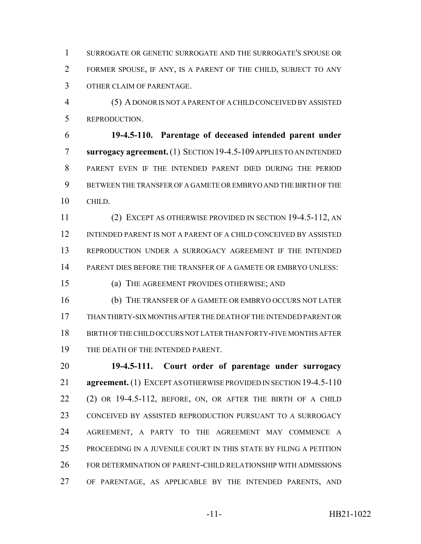SURROGATE OR GENETIC SURROGATE AND THE SURROGATE'S SPOUSE OR FORMER SPOUSE, IF ANY, IS A PARENT OF THE CHILD, SUBJECT TO ANY OTHER CLAIM OF PARENTAGE.

 (5) A DONOR IS NOT A PARENT OF A CHILD CONCEIVED BY ASSISTED REPRODUCTION.

 **19-4.5-110. Parentage of deceased intended parent under surrogacy agreement.** (1) SECTION 19-4.5-109 APPLIES TO AN INTENDED PARENT EVEN IF THE INTENDED PARENT DIED DURING THE PERIOD BETWEEN THE TRANSFER OF A GAMETE OR EMBRYO AND THE BIRTH OF THE CHILD.

 (2) EXCEPT AS OTHERWISE PROVIDED IN SECTION 19-4.5-112, AN INTENDED PARENT IS NOT A PARENT OF A CHILD CONCEIVED BY ASSISTED REPRODUCTION UNDER A SURROGACY AGREEMENT IF THE INTENDED PARENT DIES BEFORE THE TRANSFER OF A GAMETE OR EMBRYO UNLESS:

(a) THE AGREEMENT PROVIDES OTHERWISE; AND

 (b) THE TRANSFER OF A GAMETE OR EMBRYO OCCURS NOT LATER THAN THIRTY-SIX MONTHS AFTER THE DEATH OF THE INTENDED PARENT OR BIRTH OF THE CHILD OCCURS NOT LATER THAN FORTY-FIVE MONTHS AFTER 19 THE DEATH OF THE INTENDED PARENT.

 **19-4.5-111. Court order of parentage under surrogacy agreement.** (1) EXCEPT AS OTHERWISE PROVIDED IN SECTION 19-4.5-110 (2) OR 19-4.5-112, BEFORE, ON, OR AFTER THE BIRTH OF A CHILD CONCEIVED BY ASSISTED REPRODUCTION PURSUANT TO A SURROGACY AGREEMENT, A PARTY TO THE AGREEMENT MAY COMMENCE A PROCEEDING IN A JUVENILE COURT IN THIS STATE BY FILING A PETITION FOR DETERMINATION OF PARENT-CHILD RELATIONSHIP WITH ADMISSIONS OF PARENTAGE, AS APPLICABLE BY THE INTENDED PARENTS, AND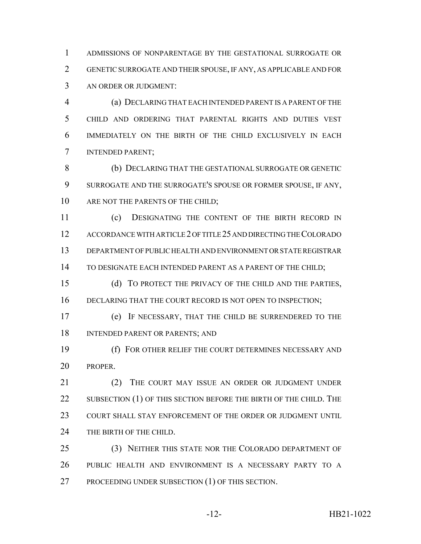ADMISSIONS OF NONPARENTAGE BY THE GESTATIONAL SURROGATE OR GENETIC SURROGATE AND THEIR SPOUSE, IF ANY, AS APPLICABLE AND FOR AN ORDER OR JUDGMENT:

 (a) DECLARING THAT EACH INTENDED PARENT IS A PARENT OF THE CHILD AND ORDERING THAT PARENTAL RIGHTS AND DUTIES VEST IMMEDIATELY ON THE BIRTH OF THE CHILD EXCLUSIVELY IN EACH INTENDED PARENT;

 (b) DECLARING THAT THE GESTATIONAL SURROGATE OR GENETIC SURROGATE AND THE SURROGATE'S SPOUSE OR FORMER SPOUSE, IF ANY, 10 ARE NOT THE PARENTS OF THE CHILD:

 (c) DESIGNATING THE CONTENT OF THE BIRTH RECORD IN ACCORDANCE WITH ARTICLE 2 OF TITLE 25 AND DIRECTING THE COLORADO DEPARTMENT OF PUBLIC HEALTH AND ENVIRONMENT OR STATE REGISTRAR TO DESIGNATE EACH INTENDED PARENT AS A PARENT OF THE CHILD;

 (d) TO PROTECT THE PRIVACY OF THE CHILD AND THE PARTIES, 16 DECLARING THAT THE COURT RECORD IS NOT OPEN TO INSPECTION;

 (e) IF NECESSARY, THAT THE CHILD BE SURRENDERED TO THE INTENDED PARENT OR PARENTS; AND

 (f) FOR OTHER RELIEF THE COURT DETERMINES NECESSARY AND PROPER.

21 (2) THE COURT MAY ISSUE AN ORDER OR JUDGMENT UNDER 22 SUBSECTION (1) OF THIS SECTION BEFORE THE BIRTH OF THE CHILD. THE 23 COURT SHALL STAY ENFORCEMENT OF THE ORDER OR JUDGMENT UNTIL 24 THE BIRTH OF THE CHILD.

 (3) NEITHER THIS STATE NOR THE COLORADO DEPARTMENT OF PUBLIC HEALTH AND ENVIRONMENT IS A NECESSARY PARTY TO A PROCEEDING UNDER SUBSECTION (1) OF THIS SECTION.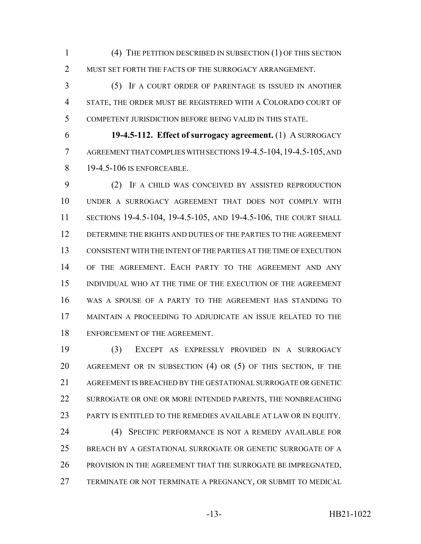(4) THE PETITION DESCRIBED IN SUBSECTION (1) OF THIS SECTION 2 MUST SET FORTH THE FACTS OF THE SURROGACY ARRANGEMENT.

 (5) IF A COURT ORDER OF PARENTAGE IS ISSUED IN ANOTHER STATE, THE ORDER MUST BE REGISTERED WITH A COLORADO COURT OF COMPETENT JURISDICTION BEFORE BEING VALID IN THIS STATE.

 **19-4.5-112. Effect of surrogacy agreement.** (1) A SURROGACY AGREEMENT THAT COMPLIES WITH SECTIONS 19-4.5-104,19-4.5-105, AND 8 19-4.5-106 IS ENFORCEABLE.

 (2) IF A CHILD WAS CONCEIVED BY ASSISTED REPRODUCTION UNDER A SURROGACY AGREEMENT THAT DOES NOT COMPLY WITH SECTIONS 19-4.5-104, 19-4.5-105, AND 19-4.5-106, THE COURT SHALL DETERMINE THE RIGHTS AND DUTIES OF THE PARTIES TO THE AGREEMENT CONSISTENT WITH THE INTENT OF THE PARTIES AT THE TIME OF EXECUTION OF THE AGREEMENT. EACH PARTY TO THE AGREEMENT AND ANY INDIVIDUAL WHO AT THE TIME OF THE EXECUTION OF THE AGREEMENT WAS A SPOUSE OF A PARTY TO THE AGREEMENT HAS STANDING TO MAINTAIN A PROCEEDING TO ADJUDICATE AN ISSUE RELATED TO THE ENFORCEMENT OF THE AGREEMENT.

 (3) EXCEPT AS EXPRESSLY PROVIDED IN A SURROGACY AGREEMENT OR IN SUBSECTION (4) OR (5) OF THIS SECTION, IF THE AGREEMENT IS BREACHED BY THE GESTATIONAL SURROGATE OR GENETIC 22 SURROGATE OR ONE OR MORE INTENDED PARENTS, THE NONBREACHING PARTY IS ENTITLED TO THE REMEDIES AVAILABLE AT LAW OR IN EQUITY. (4) SPECIFIC PERFORMANCE IS NOT A REMEDY AVAILABLE FOR BREACH BY A GESTATIONAL SURROGATE OR GENETIC SURROGATE OF A 26 PROVISION IN THE AGREEMENT THAT THE SURROGATE BE IMPREGNATED, TERMINATE OR NOT TERMINATE A PREGNANCY, OR SUBMIT TO MEDICAL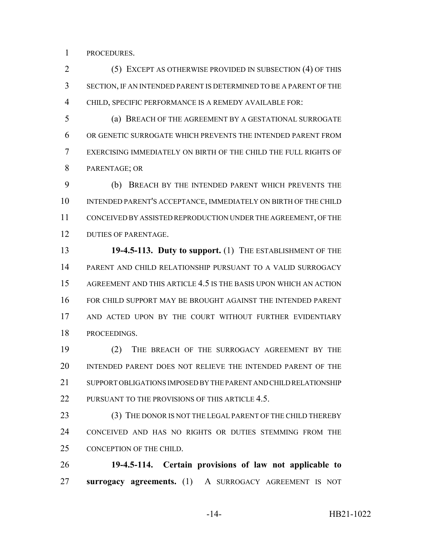PROCEDURES.

 (5) EXCEPT AS OTHERWISE PROVIDED IN SUBSECTION (4) OF THIS SECTION, IF AN INTENDED PARENT IS DETERMINED TO BE A PARENT OF THE CHILD, SPECIFIC PERFORMANCE IS A REMEDY AVAILABLE FOR:

 (a) BREACH OF THE AGREEMENT BY A GESTATIONAL SURROGATE OR GENETIC SURROGATE WHICH PREVENTS THE INTENDED PARENT FROM EXERCISING IMMEDIATELY ON BIRTH OF THE CHILD THE FULL RIGHTS OF PARENTAGE; OR

 (b) BREACH BY THE INTENDED PARENT WHICH PREVENTS THE INTENDED PARENT'S ACCEPTANCE, IMMEDIATELY ON BIRTH OF THE CHILD CONCEIVED BY ASSISTED REPRODUCTION UNDER THE AGREEMENT, OF THE DUTIES OF PARENTAGE.

 **19-4.5-113. Duty to support.** (1) THE ESTABLISHMENT OF THE PARENT AND CHILD RELATIONSHIP PURSUANT TO A VALID SURROGACY AGREEMENT AND THIS ARTICLE 4.5 IS THE BASIS UPON WHICH AN ACTION FOR CHILD SUPPORT MAY BE BROUGHT AGAINST THE INTENDED PARENT AND ACTED UPON BY THE COURT WITHOUT FURTHER EVIDENTIARY PROCEEDINGS.

 (2) THE BREACH OF THE SURROGACY AGREEMENT BY THE INTENDED PARENT DOES NOT RELIEVE THE INTENDED PARENT OF THE 21 SUPPORT OBLIGATIONS IMPOSED BY THE PARENT AND CHILD RELATIONSHIP 22 PURSUANT TO THE PROVISIONS OF THIS ARTICLE 4.5.

23 (3) THE DONOR IS NOT THE LEGAL PARENT OF THE CHILD THEREBY CONCEIVED AND HAS NO RIGHTS OR DUTIES STEMMING FROM THE 25 CONCEPTION OF THE CHILD.

 **19-4.5-114. Certain provisions of law not applicable to surrogacy agreements.** (1) A SURROGACY AGREEMENT IS NOT